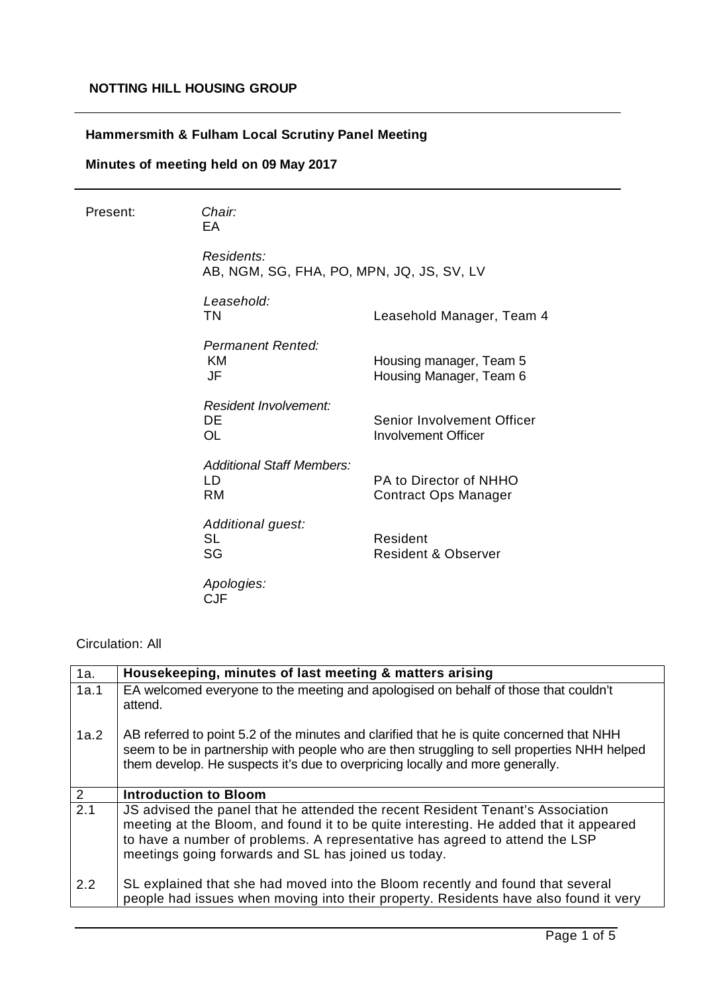## **Hammersmith & Fulham Local Scrutiny Panel Meeting**

# **Minutes of meeting held on 09 May 2017**

| Present: | Chair:<br>EA                                            |                                                          |
|----------|---------------------------------------------------------|----------------------------------------------------------|
|          | Residents:<br>AB, NGM, SG, FHA, PO, MPN, JQ, JS, SV, LV |                                                          |
|          | Leasehold:<br><b>TN</b>                                 | Leasehold Manager, Team 4                                |
|          | <b>Permanent Rented:</b><br>ΚM<br>JF                    | Housing manager, Team 5<br>Housing Manager, Team 6       |
|          | Resident Involvement:<br>DE<br><b>OL</b>                | Senior Involvement Officer<br><b>Involvement Officer</b> |
|          | <b>Additional Staff Members:</b><br>LD<br><b>RM</b>     | PA to Director of NHHO<br><b>Contract Ops Manager</b>    |
|          | Additional guest:<br><b>SL</b><br>SG                    | Resident<br><b>Resident &amp; Observer</b>               |
|          | Apologies:<br><b>CJF</b>                                |                                                          |

### Circulation: All

| 1a.  | Housekeeping, minutes of last meeting & matters arising                                                                                                                                                                                                                                                       |
|------|---------------------------------------------------------------------------------------------------------------------------------------------------------------------------------------------------------------------------------------------------------------------------------------------------------------|
| 1a.1 | EA welcomed everyone to the meeting and apologised on behalf of those that couldn't<br>attend.                                                                                                                                                                                                                |
| 1a.2 | AB referred to point 5.2 of the minutes and clarified that he is quite concerned that NHH<br>seem to be in partnership with people who are then struggling to sell properties NHH helped<br>them develop. He suspects it's due to overpricing locally and more generally.                                     |
| 2    | <b>Introduction to Bloom</b>                                                                                                                                                                                                                                                                                  |
| 2.1  | JS advised the panel that he attended the recent Resident Tenant's Association<br>meeting at the Bloom, and found it to be quite interesting. He added that it appeared<br>to have a number of problems. A representative has agreed to attend the LSP<br>meetings going forwards and SL has joined us today. |
| 2.2  | SL explained that she had moved into the Bloom recently and found that several<br>people had issues when moving into their property. Residents have also found it very                                                                                                                                        |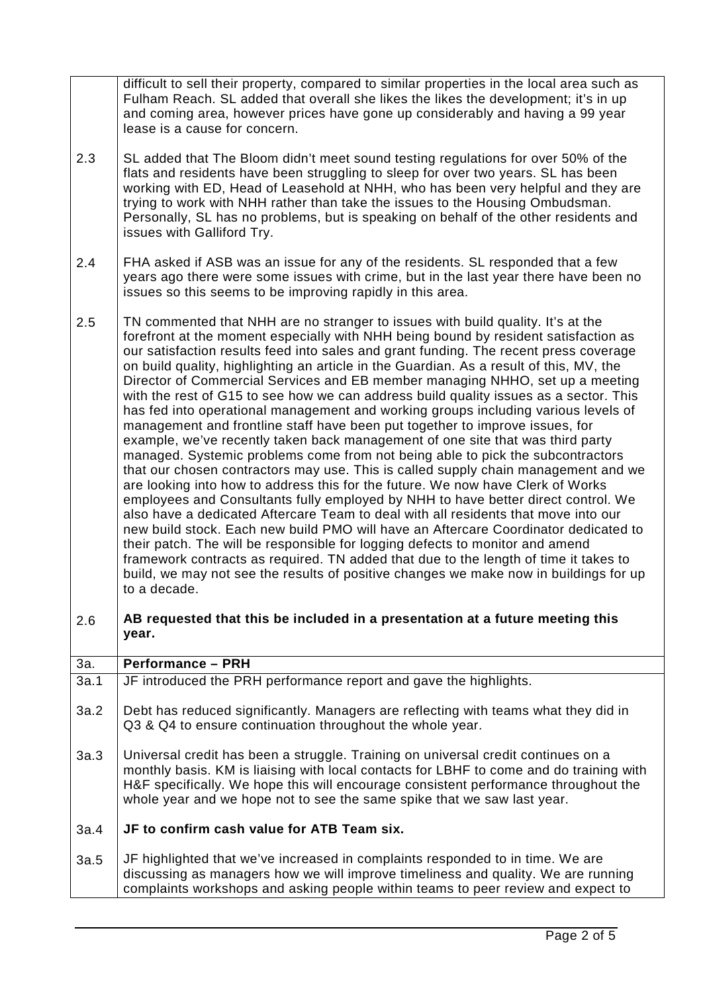| 2.3  | difficult to sell their property, compared to similar properties in the local area such as<br>Fulham Reach. SL added that overall she likes the likes the development; it's in up<br>and coming area, however prices have gone up considerably and having a 99 year<br>lease is a cause for concern.<br>SL added that The Bloom didn't meet sound testing regulations for over 50% of the<br>flats and residents have been struggling to sleep for over two years. SL has been<br>working with ED, Head of Leasehold at NHH, who has been very helpful and they are<br>trying to work with NHH rather than take the issues to the Housing Ombudsman.<br>Personally, SL has no problems, but is speaking on behalf of the other residents and<br>issues with Galliford Try.                                                                                                                                                                                                                                                                                                                                                                                                                                                                                                                                                                                                                                                                                                                                                                                                                                  |
|------|-------------------------------------------------------------------------------------------------------------------------------------------------------------------------------------------------------------------------------------------------------------------------------------------------------------------------------------------------------------------------------------------------------------------------------------------------------------------------------------------------------------------------------------------------------------------------------------------------------------------------------------------------------------------------------------------------------------------------------------------------------------------------------------------------------------------------------------------------------------------------------------------------------------------------------------------------------------------------------------------------------------------------------------------------------------------------------------------------------------------------------------------------------------------------------------------------------------------------------------------------------------------------------------------------------------------------------------------------------------------------------------------------------------------------------------------------------------------------------------------------------------------------------------------------------------------------------------------------------------|
| 2.4  | FHA asked if ASB was an issue for any of the residents. SL responded that a few<br>years ago there were some issues with crime, but in the last year there have been no<br>issues so this seems to be improving rapidly in this area.                                                                                                                                                                                                                                                                                                                                                                                                                                                                                                                                                                                                                                                                                                                                                                                                                                                                                                                                                                                                                                                                                                                                                                                                                                                                                                                                                                       |
| 2.5  | TN commented that NHH are no stranger to issues with build quality. It's at the<br>forefront at the moment especially with NHH being bound by resident satisfaction as<br>our satisfaction results feed into sales and grant funding. The recent press coverage<br>on build quality, highlighting an article in the Guardian. As a result of this, MV, the<br>Director of Commercial Services and EB member managing NHHO, set up a meeting<br>with the rest of G15 to see how we can address build quality issues as a sector. This<br>has fed into operational management and working groups including various levels of<br>management and frontline staff have been put together to improve issues, for<br>example, we've recently taken back management of one site that was third party<br>managed. Systemic problems come from not being able to pick the subcontractors<br>that our chosen contractors may use. This is called supply chain management and we<br>are looking into how to address this for the future. We now have Clerk of Works<br>employees and Consultants fully employed by NHH to have better direct control. We<br>also have a dedicated Aftercare Team to deal with all residents that move into our<br>new build stock. Each new build PMO will have an Aftercare Coordinator dedicated to<br>their patch. The will be responsible for logging defects to monitor and amend<br>framework contracts as required. TN added that due to the length of time it takes to<br>build, we may not see the results of positive changes we make now in buildings for up<br>to a decade. |
| 2.6  | AB requested that this be included in a presentation at a future meeting this<br>year.                                                                                                                                                                                                                                                                                                                                                                                                                                                                                                                                                                                                                                                                                                                                                                                                                                                                                                                                                                                                                                                                                                                                                                                                                                                                                                                                                                                                                                                                                                                      |
| 3a.  | <b>Performance - PRH</b>                                                                                                                                                                                                                                                                                                                                                                                                                                                                                                                                                                                                                                                                                                                                                                                                                                                                                                                                                                                                                                                                                                                                                                                                                                                                                                                                                                                                                                                                                                                                                                                    |
| 3a.1 | JF introduced the PRH performance report and gave the highlights.                                                                                                                                                                                                                                                                                                                                                                                                                                                                                                                                                                                                                                                                                                                                                                                                                                                                                                                                                                                                                                                                                                                                                                                                                                                                                                                                                                                                                                                                                                                                           |
| 3a.2 | Debt has reduced significantly. Managers are reflecting with teams what they did in<br>Q3 & Q4 to ensure continuation throughout the whole year.                                                                                                                                                                                                                                                                                                                                                                                                                                                                                                                                                                                                                                                                                                                                                                                                                                                                                                                                                                                                                                                                                                                                                                                                                                                                                                                                                                                                                                                            |
| 3a.3 | Universal credit has been a struggle. Training on universal credit continues on a<br>monthly basis. KM is liaising with local contacts for LBHF to come and do training with<br>H&F specifically. We hope this will encourage consistent performance throughout the<br>whole year and we hope not to see the same spike that we saw last year.                                                                                                                                                                                                                                                                                                                                                                                                                                                                                                                                                                                                                                                                                                                                                                                                                                                                                                                                                                                                                                                                                                                                                                                                                                                              |
| 3a.4 | JF to confirm cash value for ATB Team six.                                                                                                                                                                                                                                                                                                                                                                                                                                                                                                                                                                                                                                                                                                                                                                                                                                                                                                                                                                                                                                                                                                                                                                                                                                                                                                                                                                                                                                                                                                                                                                  |
| 3a.5 | JF highlighted that we've increased in complaints responded to in time. We are<br>discussing as managers how we will improve timeliness and quality. We are running<br>complaints workshops and asking people within teams to peer review and expect to                                                                                                                                                                                                                                                                                                                                                                                                                                                                                                                                                                                                                                                                                                                                                                                                                                                                                                                                                                                                                                                                                                                                                                                                                                                                                                                                                     |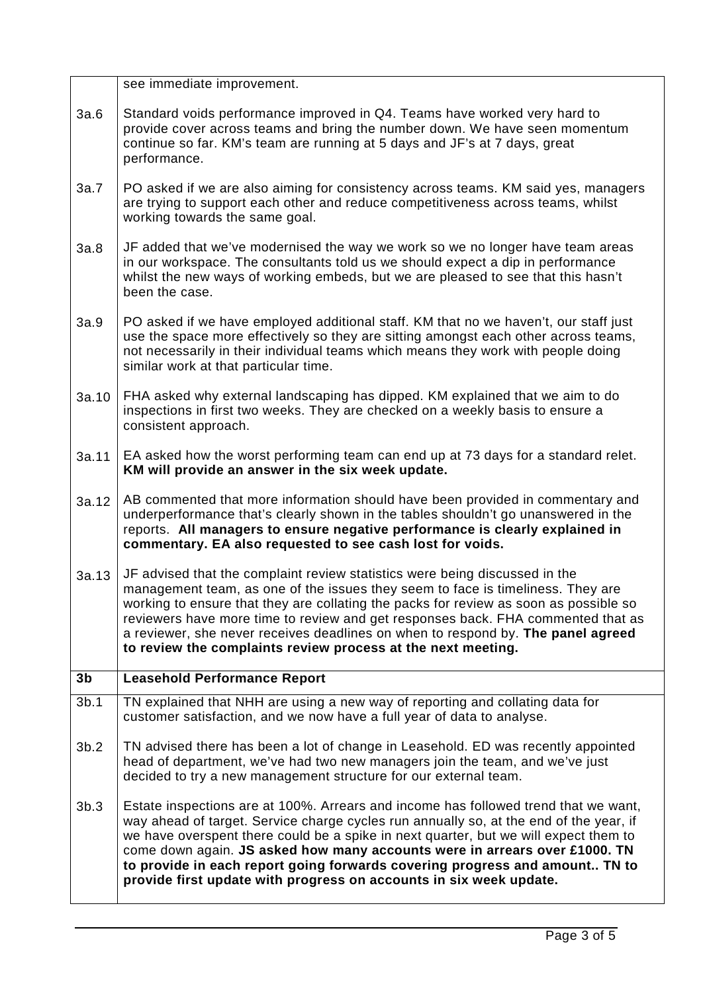|                | see immediate improvement.                                                                                                                                                                                                                                                                                                                                                                                                                                                                      |
|----------------|-------------------------------------------------------------------------------------------------------------------------------------------------------------------------------------------------------------------------------------------------------------------------------------------------------------------------------------------------------------------------------------------------------------------------------------------------------------------------------------------------|
| 3a.6           | Standard voids performance improved in Q4. Teams have worked very hard to<br>provide cover across teams and bring the number down. We have seen momentum<br>continue so far. KM's team are running at 5 days and JF's at 7 days, great<br>performance.                                                                                                                                                                                                                                          |
| 3a.7           | PO asked if we are also aiming for consistency across teams. KM said yes, managers<br>are trying to support each other and reduce competitiveness across teams, whilst<br>working towards the same goal.                                                                                                                                                                                                                                                                                        |
| 3a.8           | JF added that we've modernised the way we work so we no longer have team areas<br>in our workspace. The consultants told us we should expect a dip in performance<br>whilst the new ways of working embeds, but we are pleased to see that this hasn't<br>been the case.                                                                                                                                                                                                                        |
| 3a.9           | PO asked if we have employed additional staff. KM that no we haven't, our staff just<br>use the space more effectively so they are sitting amongst each other across teams,<br>not necessarily in their individual teams which means they work with people doing<br>similar work at that particular time.                                                                                                                                                                                       |
| 3a.10          | FHA asked why external landscaping has dipped. KM explained that we aim to do<br>inspections in first two weeks. They are checked on a weekly basis to ensure a<br>consistent approach.                                                                                                                                                                                                                                                                                                         |
| 3a.11          | EA asked how the worst performing team can end up at 73 days for a standard relet.<br>KM will provide an answer in the six week update.                                                                                                                                                                                                                                                                                                                                                         |
| 3a.12          | AB commented that more information should have been provided in commentary and<br>underperformance that's clearly shown in the tables shouldn't go unanswered in the<br>reports. All managers to ensure negative performance is clearly explained in<br>commentary. EA also requested to see cash lost for voids.                                                                                                                                                                               |
| 3a.13          | JF advised that the complaint review statistics were being discussed in the<br>management team, as one of the issues they seem to face is timeliness. They are<br>working to ensure that they are collating the packs for review as soon as possible so<br>reviewers have more time to review and get responses back. FHA commented that as<br>a reviewer, she never receives deadlines on when to respond by. The panel agreed<br>to review the complaints review process at the next meeting. |
| 3 <sub>b</sub> | <b>Leasehold Performance Report</b>                                                                                                                                                                                                                                                                                                                                                                                                                                                             |
| 3b.1           | TN explained that NHH are using a new way of reporting and collating data for                                                                                                                                                                                                                                                                                                                                                                                                                   |
|                | customer satisfaction, and we now have a full year of data to analyse.                                                                                                                                                                                                                                                                                                                                                                                                                          |
| 3b.2           | TN advised there has been a lot of change in Leasehold. ED was recently appointed<br>head of department, we've had two new managers join the team, and we've just<br>decided to try a new management structure for our external team.                                                                                                                                                                                                                                                           |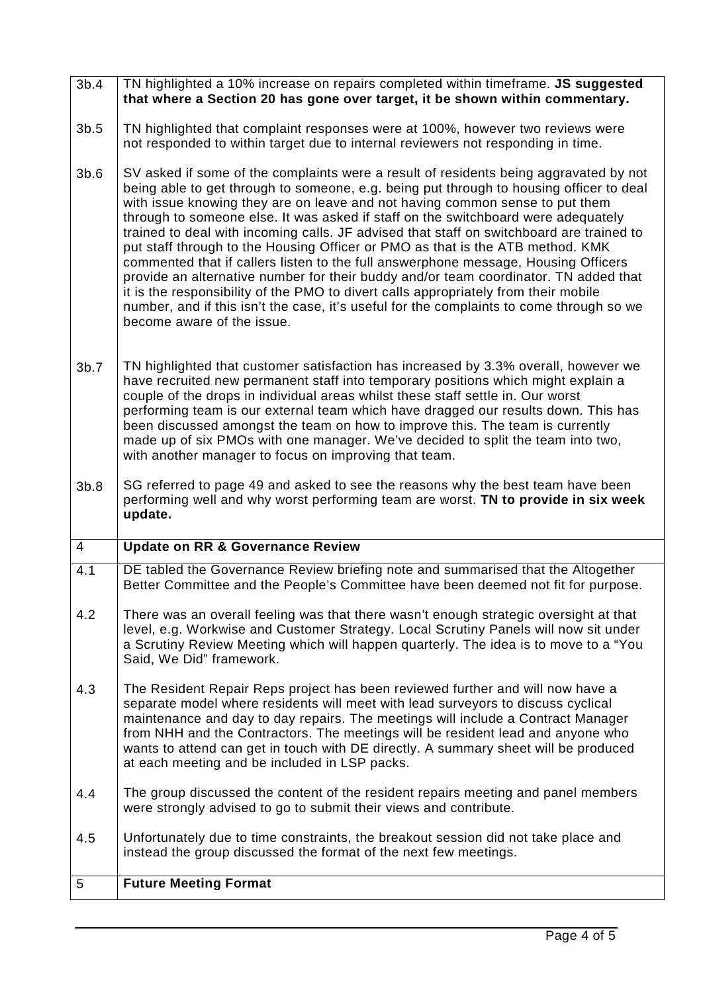#### 3b.4 TN highlighted a 10% increase on repairs completed within timeframe. **JS suggested that where a Section 20 has gone over target, it be shown within commentary.**

- 3b.5 TN highlighted that complaint responses were at 100%, however two reviews were not responded to within target due to internal reviewers not responding in time.
- 3b.6 SV asked if some of the complaints were a result of residents being aggravated by not being able to get through to someone, e.g. being put through to housing officer to deal with issue knowing they are on leave and not having common sense to put them through to someone else. It was asked if staff on the switchboard were adequately trained to deal with incoming calls. JF advised that staff on switchboard are trained to put staff through to the Housing Officer or PMO as that is the ATB method. KMK commented that if callers listen to the full answerphone message, Housing Officers provide an alternative number for their buddy and/or team coordinator. TN added that it is the responsibility of the PMO to divert calls appropriately from their mobile number, and if this isn't the case, it's useful for the complaints to come through so we become aware of the issue.
- 3b.7 TN highlighted that customer satisfaction has increased by 3.3% overall, however we have recruited new permanent staff into temporary positions which might explain a couple of the drops in individual areas whilst these staff settle in. Our worst performing team is our external team which have dragged our results down. This has been discussed amongst the team on how to improve this. The team is currently made up of six PMOs with one manager. We've decided to split the team into two, with another manager to focus on improving that team.
- 3b.8 SG referred to page 49 and asked to see the reasons why the best team have been performing well and why worst performing team are worst. **TN to provide in six week update.**

#### 4 **Update on RR & Governance Review** 4.1 4.2 4.3 4.4 4.5 DE tabled the Governance Review briefing note and summarised that the Altogether Better Committee and the People's Committee have been deemed not fit for purpose. There was an overall feeling was that there wasn't enough strategic oversight at that level, e.g. Workwise and Customer Strategy. Local Scrutiny Panels will now sit under a Scrutiny Review Meeting which will happen quarterly. The idea is to move to a "You Said, We Did" framework. The Resident Repair Reps project has been reviewed further and will now have a separate model where residents will meet with lead surveyors to discuss cyclical maintenance and day to day repairs. The meetings will include a Contract Manager from NHH and the Contractors. The meetings will be resident lead and anyone who wants to attend can get in touch with DE directly. A summary sheet will be produced at each meeting and be included in LSP packs. The group discussed the content of the resident repairs meeting and panel members were strongly advised to go to submit their views and contribute. Unfortunately due to time constraints, the breakout session did not take place and instead the group discussed the format of the next few meetings. 5 **Future Meeting Format**